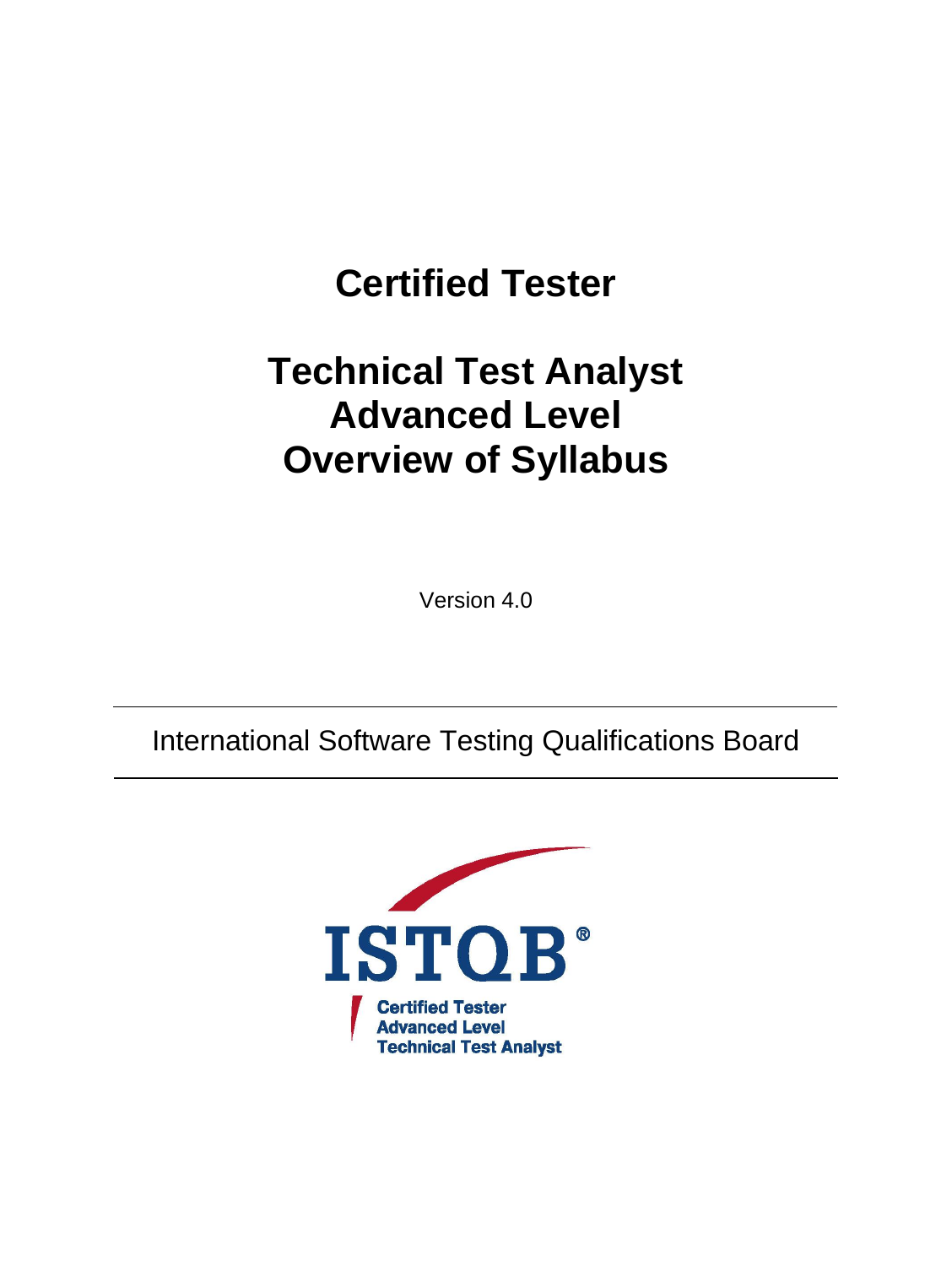# **Certified Tester**

# **Technical Test Analyst Advanced Level Overview of Syllabus**

Version 4.0

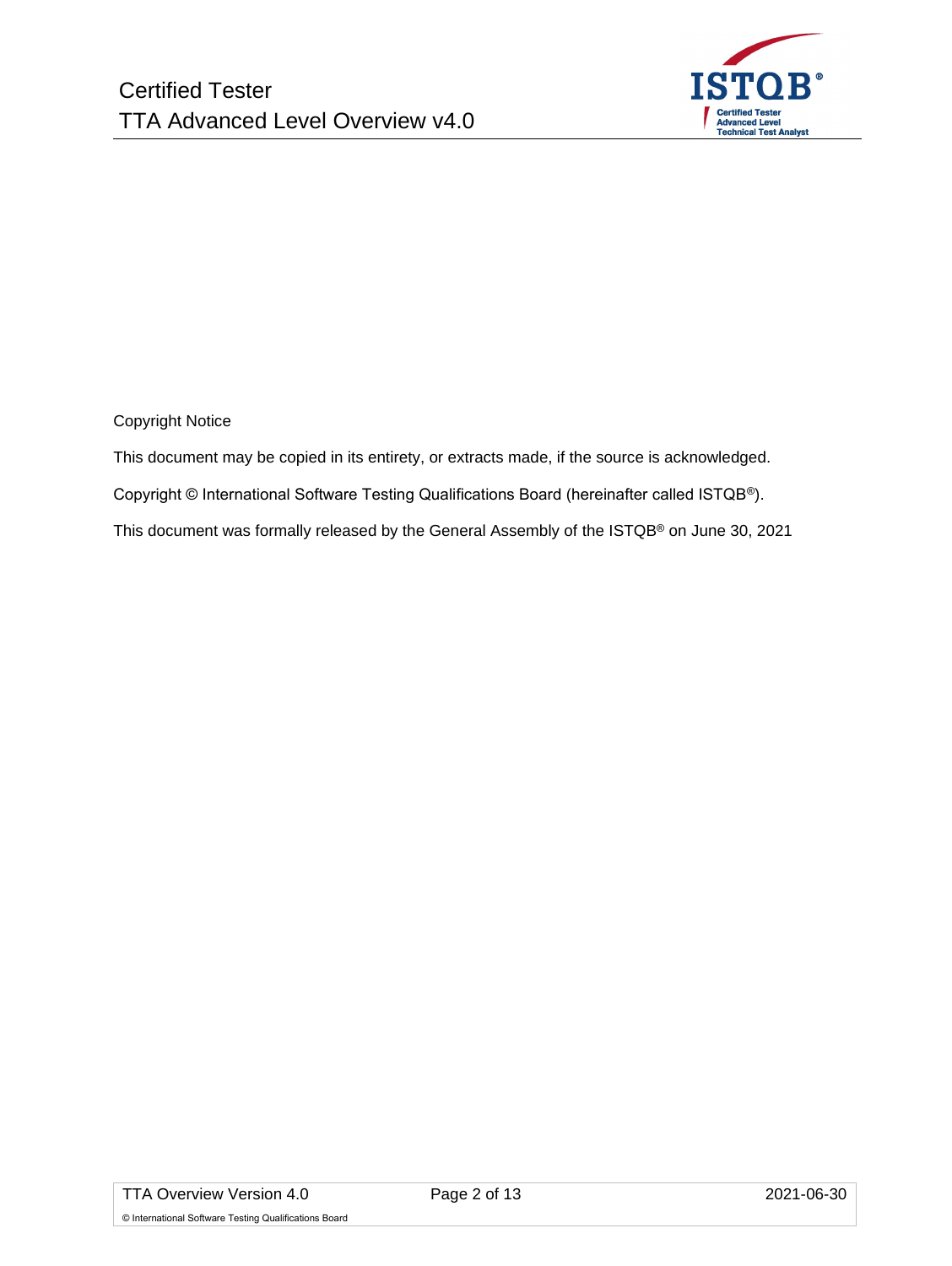

Copyright Notice

This document may be copied in its entirety, or extracts made, if the source is acknowledged.

Copyright © International Software Testing Qualifications Board (hereinafter called ISTQB®).

This document was formally released by the General Assembly of the ISTQB® on June 30, 2021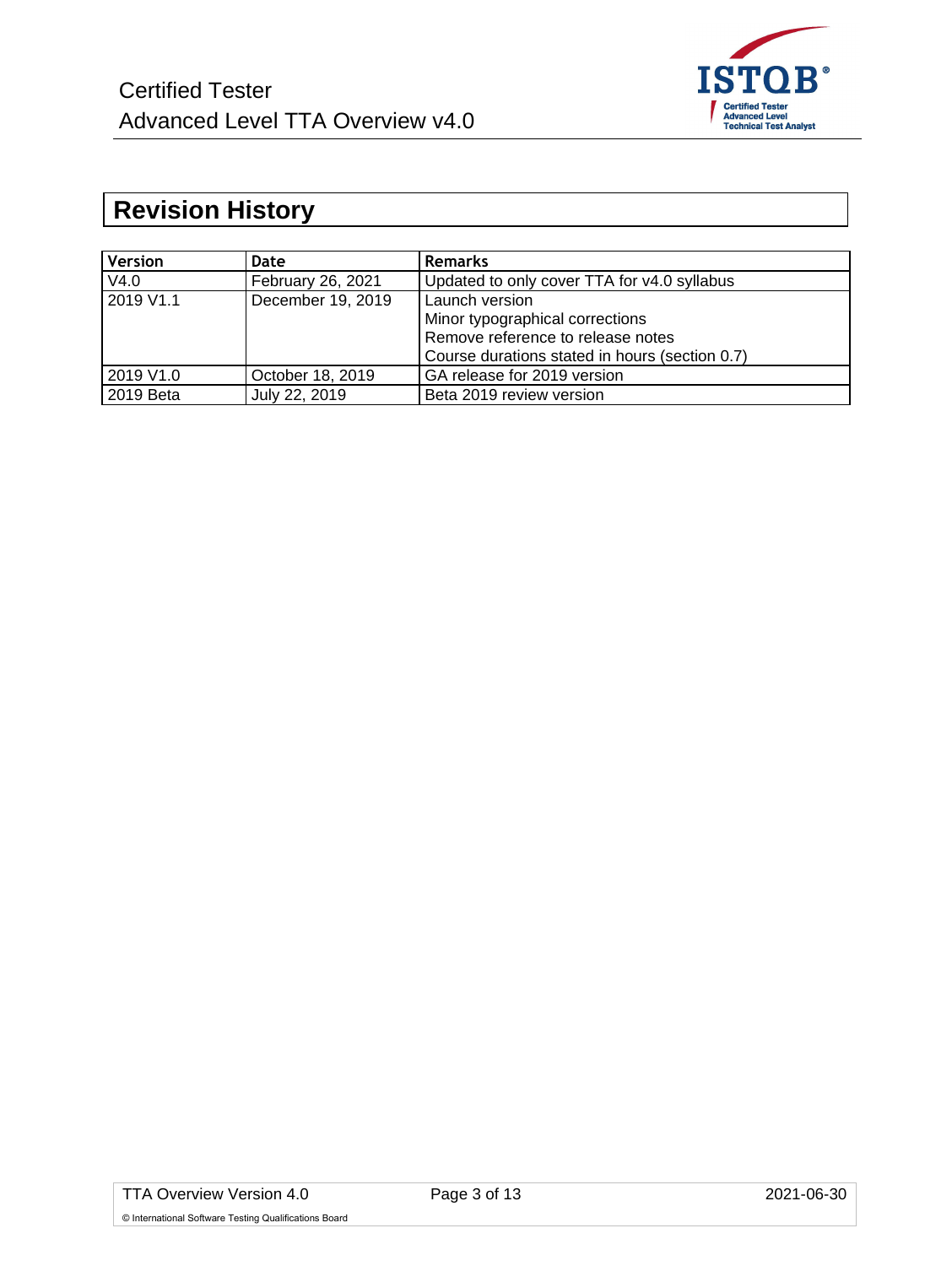

# <span id="page-2-0"></span>**Revision History**

| <b>Version</b> | Date              | <b>Remarks</b>                                 |
|----------------|-------------------|------------------------------------------------|
| V4.0           | February 26, 2021 | Updated to only cover TTA for v4.0 syllabus    |
| 2019 V1.1      | December 19, 2019 | Launch version                                 |
|                |                   | Minor typographical corrections                |
|                |                   | Remove reference to release notes              |
|                |                   | Course durations stated in hours (section 0.7) |
| 2019 V1.0      | October 18, 2019  | GA release for 2019 version                    |
| 2019 Beta      | July 22, 2019     | Beta 2019 review version                       |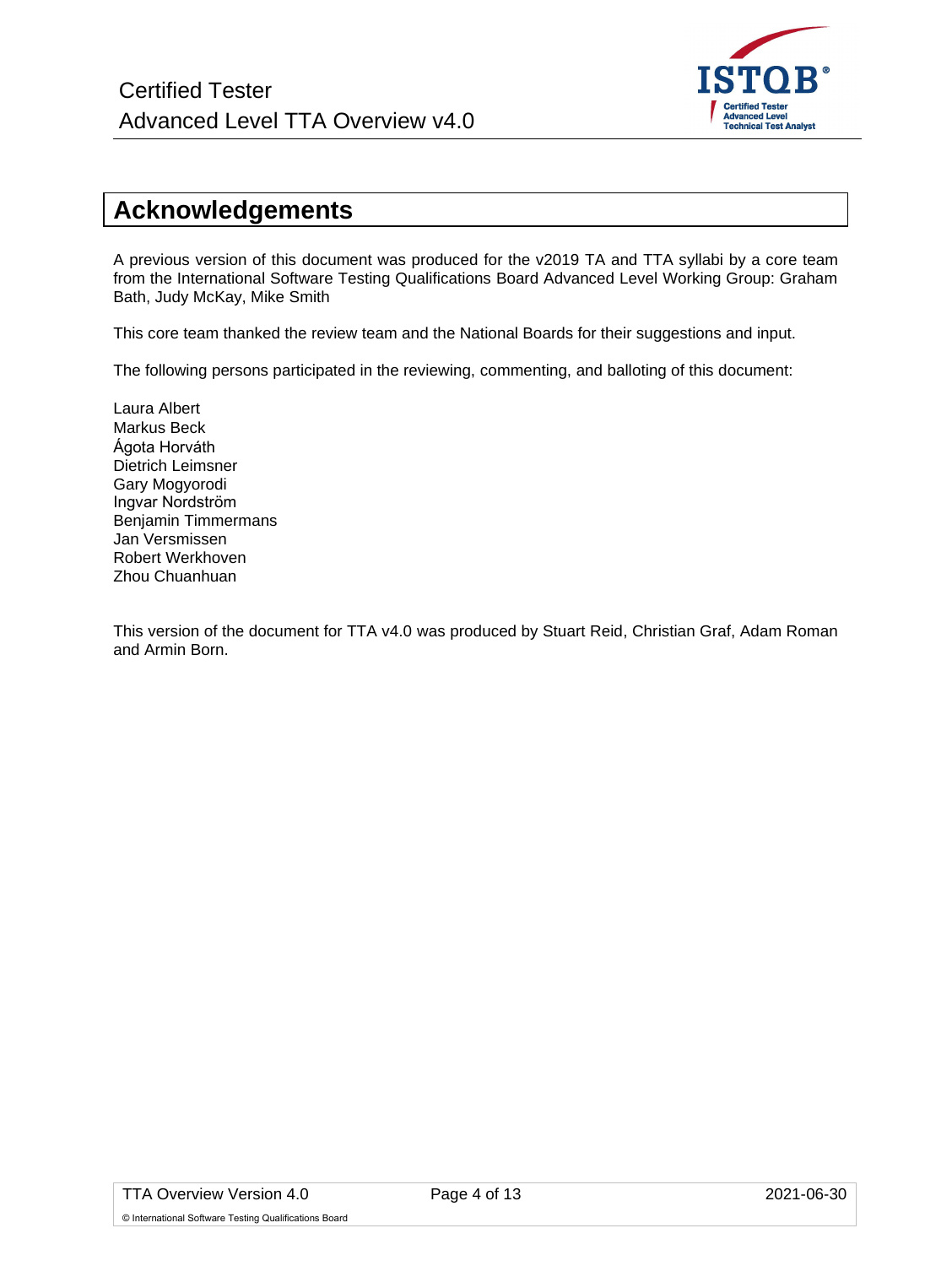

# <span id="page-3-0"></span>**Acknowledgements**

A previous version of this document was produced for the v2019 TA and TTA syllabi by a core team from the International Software Testing Qualifications Board Advanced Level Working Group: Graham Bath, Judy McKay, Mike Smith

This core team thanked the review team and the National Boards for their suggestions and input.

The following persons participated in the reviewing, commenting, and balloting of this document:

Laura Albert Markus Beck Ágota Horváth Dietrich Leimsner Gary Mogyorodi Ingvar Nordström Benjamin Timmermans Jan Versmissen Robert Werkhoven Zhou Chuanhuan

This version of the document for TTA v4.0 was produced by Stuart Reid, Christian Graf, Adam Roman and Armin Born.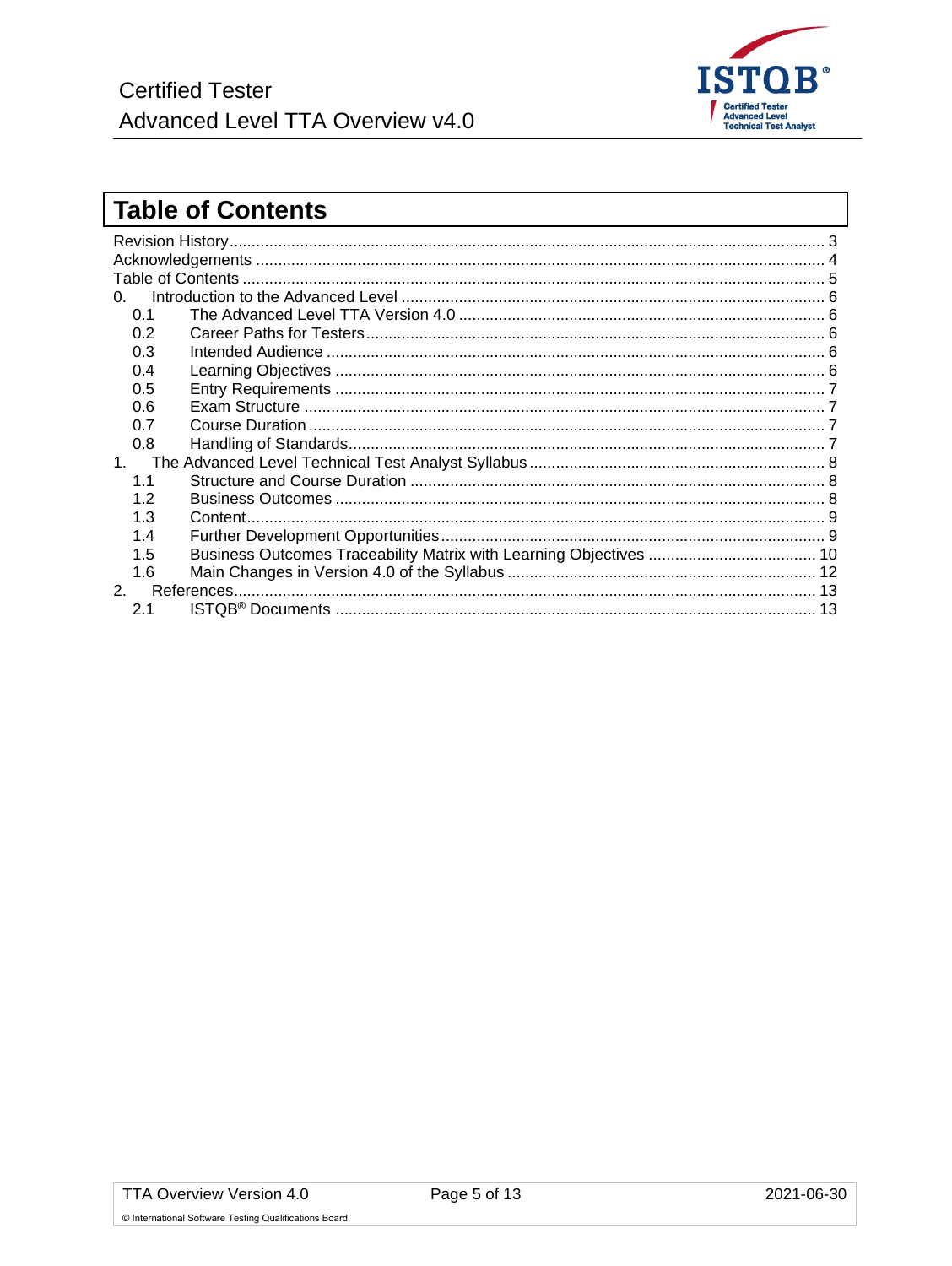

# <span id="page-4-0"></span>**Table of Contents**

| <sup>n</sup> |                                                         |  |
|--------------|---------------------------------------------------------|--|
| 0.1          |                                                         |  |
| 0.2          |                                                         |  |
| 0.3          |                                                         |  |
| 0.4          |                                                         |  |
| 0.5          |                                                         |  |
| 0.6          |                                                         |  |
| 0.7          |                                                         |  |
| 0.8          |                                                         |  |
| 1            |                                                         |  |
| 1.1          |                                                         |  |
| 1.2          |                                                         |  |
| 1.3          |                                                         |  |
| 1.4          |                                                         |  |
| 1.5          |                                                         |  |
| 1.6          |                                                         |  |
|              |                                                         |  |
| 2.1          | ISTQB® Documents …………………………………………………………………………………………… 13 |  |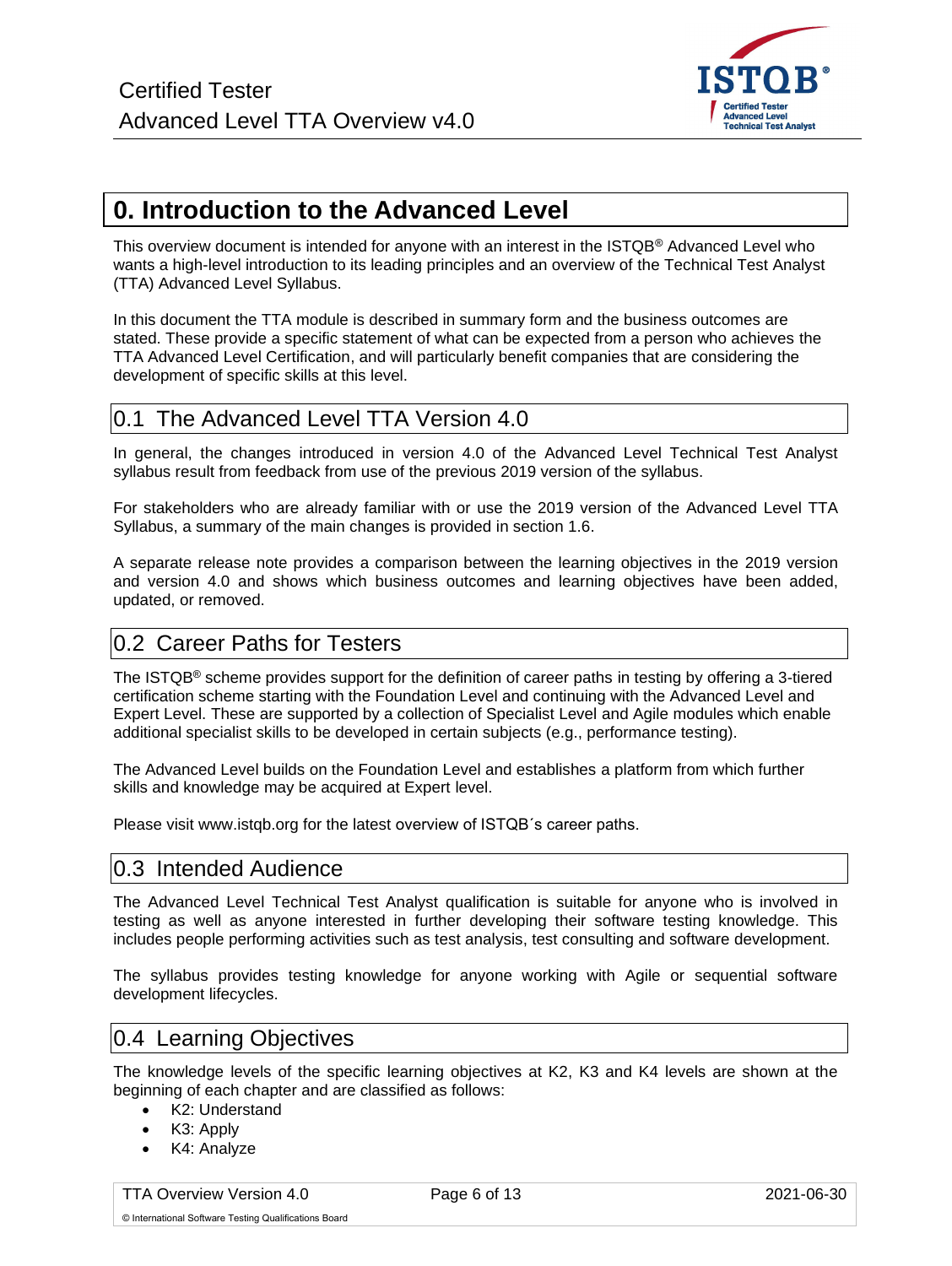

# <span id="page-5-0"></span>**0. Introduction to the Advanced Level**

This overview document is intended for anyone with an interest in the ISTQB® Advanced Level who wants a high-level introduction to its leading principles and an overview of the Technical Test Analyst (TTA) Advanced Level Syllabus.

In this document the TTA module is described in summary form and the business outcomes are stated. These provide a specific statement of what can be expected from a person who achieves the TTA Advanced Level Certification, and will particularly benefit companies that are considering the development of specific skills at this level.

### <span id="page-5-1"></span>0.1 The Advanced Level TTA Version 4.0

In general, the changes introduced in version 4.0 of the Advanced Level Technical Test Analyst syllabus result from feedback from use of the previous 2019 version of the syllabus.

For stakeholders who are already familiar with or use the 2019 version of the Advanced Level TTA Syllabus, a summary of the main changes is provided in section 1.6.

A separate release note provides a comparison between the learning objectives in the 2019 version and version 4.0 and shows which business outcomes and learning objectives have been added, updated, or removed.

### <span id="page-5-2"></span>0.2 Career Paths for Testers

The ISTQB® scheme provides support for the definition of career paths in testing by offering a 3-tiered certification scheme starting with the Foundation Level and continuing with the Advanced Level and Expert Level. These are supported by a collection of Specialist Level and Agile modules which enable additional specialist skills to be developed in certain subjects (e.g., performance testing).

The Advanced Level builds on the Foundation Level and establishes a platform from which further skills and knowledge may be acquired at Expert level.

<span id="page-5-3"></span>Please visit www.istqb.org for the latest overview of ISTQB´s career paths.

### 0.3 Intended Audience

The Advanced Level Technical Test Analyst qualification is suitable for anyone who is involved in testing as well as anyone interested in further developing their software testing knowledge. This includes people performing activities such as test analysis, test consulting and software development.

The syllabus provides testing knowledge for anyone working with Agile or sequential software development lifecycles.

### <span id="page-5-4"></span>0.4 Learning Objectives

The knowledge levels of the specific learning objectives at K2, K3 and K4 levels are shown at the beginning of each chapter and are classified as follows:

- K2: Understand
- K3: Apply
- K4: Analyze

TTA Overview Version 4.0 **Page 6 of 13** Page 6 of 13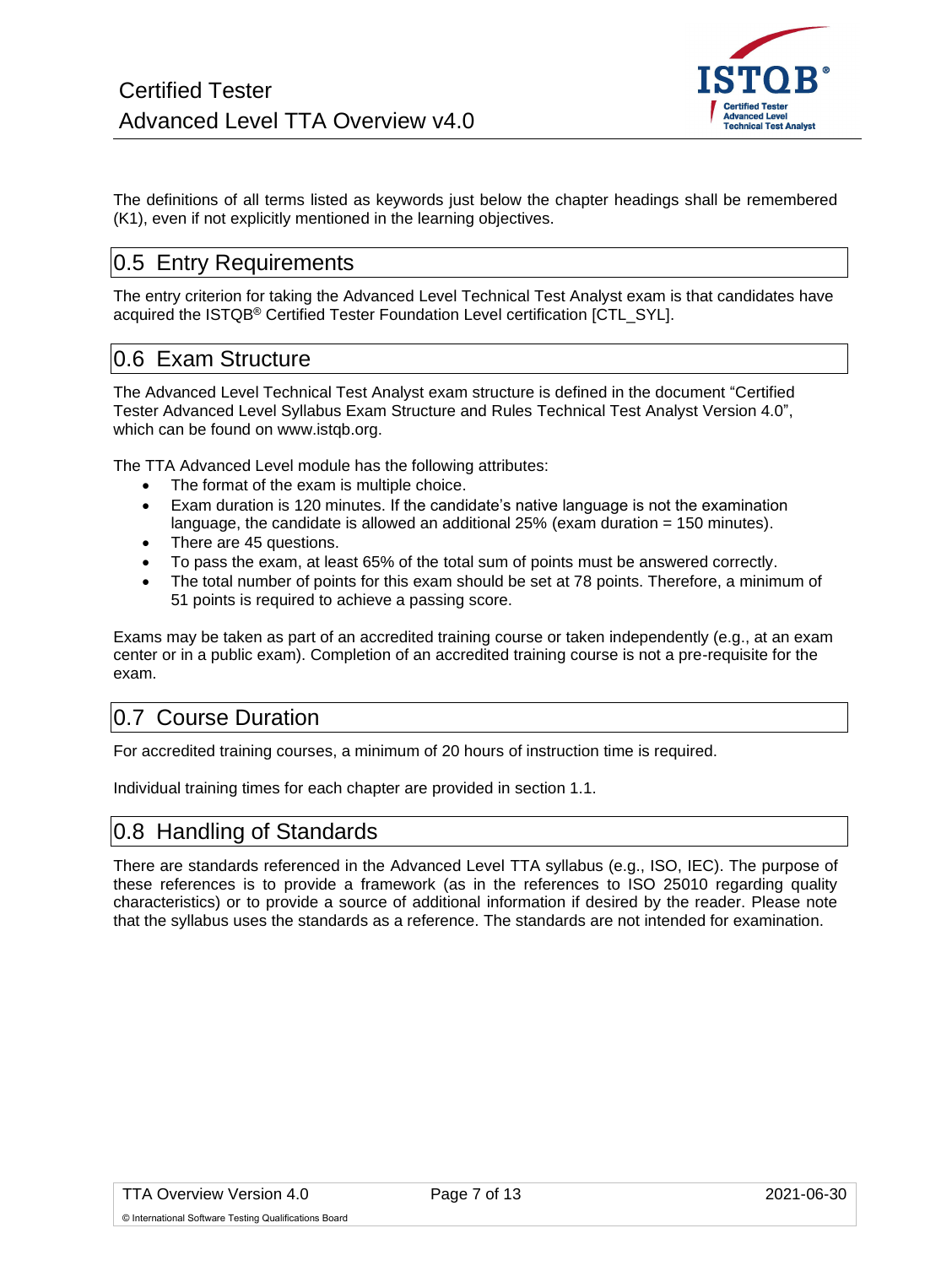

The definitions of all terms listed as keywords just below the chapter headings shall be remembered (K1), even if not explicitly mentioned in the learning objectives.

### <span id="page-6-0"></span>0.5 Entry Requirements

The entry criterion for taking the Advanced Level Technical Test Analyst exam is that candidates have acquired the ISTQB® Certified Tester Foundation Level certification [CTL\_SYL].

### <span id="page-6-1"></span>0.6 Exam Structure

The Advanced Level Technical Test Analyst exam structure is defined in the document "Certified Tester Advanced Level Syllabus Exam Structure and Rules Technical Test Analyst Version 4.0", which can be found on www.istqb.org.

The TTA Advanced Level module has the following attributes:

- The format of the exam is multiple choice.
- Exam duration is 120 minutes. If the candidate's native language is not the examination language, the candidate is allowed an additional 25% (exam duration = 150 minutes).
- There are 45 questions.
- To pass the exam, at least 65% of the total sum of points must be answered correctly.
- The total number of points for this exam should be set at 78 points. Therefore, a minimum of 51 points is required to achieve a passing score.

Exams may be taken as part of an accredited training course or taken independently (e.g., at an exam center or in a public exam). Completion of an accredited training course is not a pre-requisite for the exam.

## <span id="page-6-2"></span>0.7 Course Duration

For accredited training courses, a minimum of 20 hours of instruction time is required.

<span id="page-6-3"></span>Individual training times for each chapter are provided in section 1.1.

### 0.8 Handling of Standards

There are standards referenced in the Advanced Level TTA syllabus (e.g., ISO, IEC). The purpose of these references is to provide a framework (as in the references to ISO 25010 regarding quality characteristics) or to provide a source of additional information if desired by the reader. Please note that the syllabus uses the standards as a reference. The standards are not intended for examination.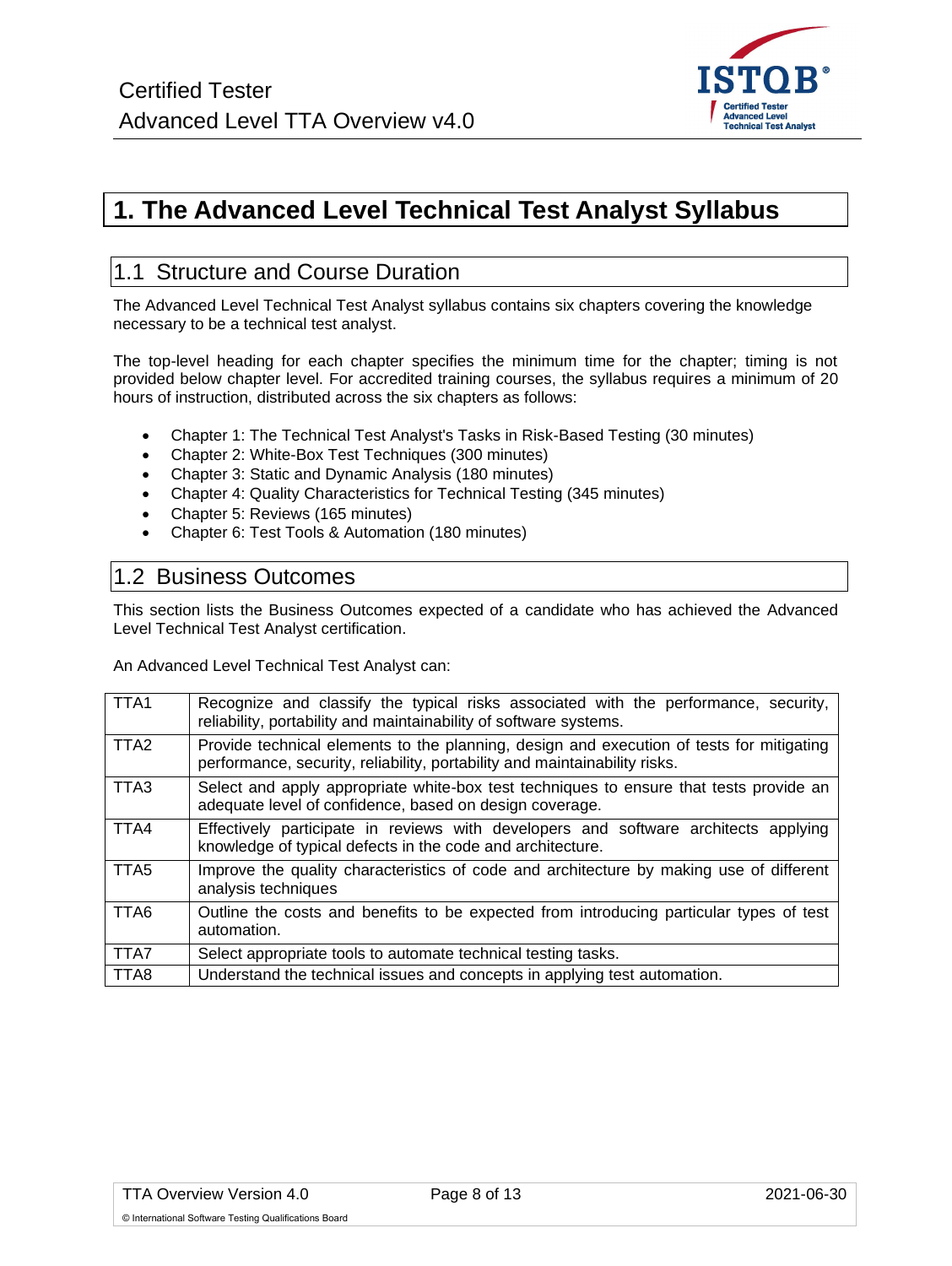

# <span id="page-7-0"></span>**1. The Advanced Level Technical Test Analyst Syllabus**

### <span id="page-7-1"></span>1.1 Structure and Course Duration

The Advanced Level Technical Test Analyst syllabus contains six chapters covering the knowledge necessary to be a technical test analyst.

The top-level heading for each chapter specifies the minimum time for the chapter; timing is not provided below chapter level. For accredited training courses, the syllabus requires a minimum of 20 hours of instruction, distributed across the six chapters as follows:

- Chapter 1: The Technical Test Analyst's Tasks in Risk-Based Testing (30 minutes)
- Chapter 2: White-Box Test Techniques (300 minutes)
- Chapter 3: Static and Dynamic Analysis (180 minutes)
- Chapter 4: Quality Characteristics for Technical Testing (345 minutes)
- Chapter 5: Reviews (165 minutes)
- Chapter 6: Test Tools & Automation (180 minutes)

#### <span id="page-7-2"></span>1.2 Business Outcomes

This section lists the Business Outcomes expected of a candidate who has achieved the Advanced Level Technical Test Analyst certification.

An Advanced Level Technical Test Analyst can:

| TTA1             | Recognize and classify the typical risks associated with the performance, security,<br>reliability, portability and maintainability of software systems.               |
|------------------|------------------------------------------------------------------------------------------------------------------------------------------------------------------------|
| TTA <sub>2</sub> | Provide technical elements to the planning, design and execution of tests for mitigating<br>performance, security, reliability, portability and maintainability risks. |
| TTA3             | Select and apply appropriate white-box test techniques to ensure that tests provide an<br>adequate level of confidence, based on design coverage.                      |
| TTA4             | Effectively participate in reviews with developers and software architects applying<br>knowledge of typical defects in the code and architecture.                      |
| TTA <sub>5</sub> | Improve the quality characteristics of code and architecture by making use of different<br>analysis techniques                                                         |
| TTA6             | Outline the costs and benefits to be expected from introducing particular types of test<br>automation.                                                                 |
| TTA7             | Select appropriate tools to automate technical testing tasks.                                                                                                          |
| TTA8             | Understand the technical issues and concepts in applying test automation.                                                                                              |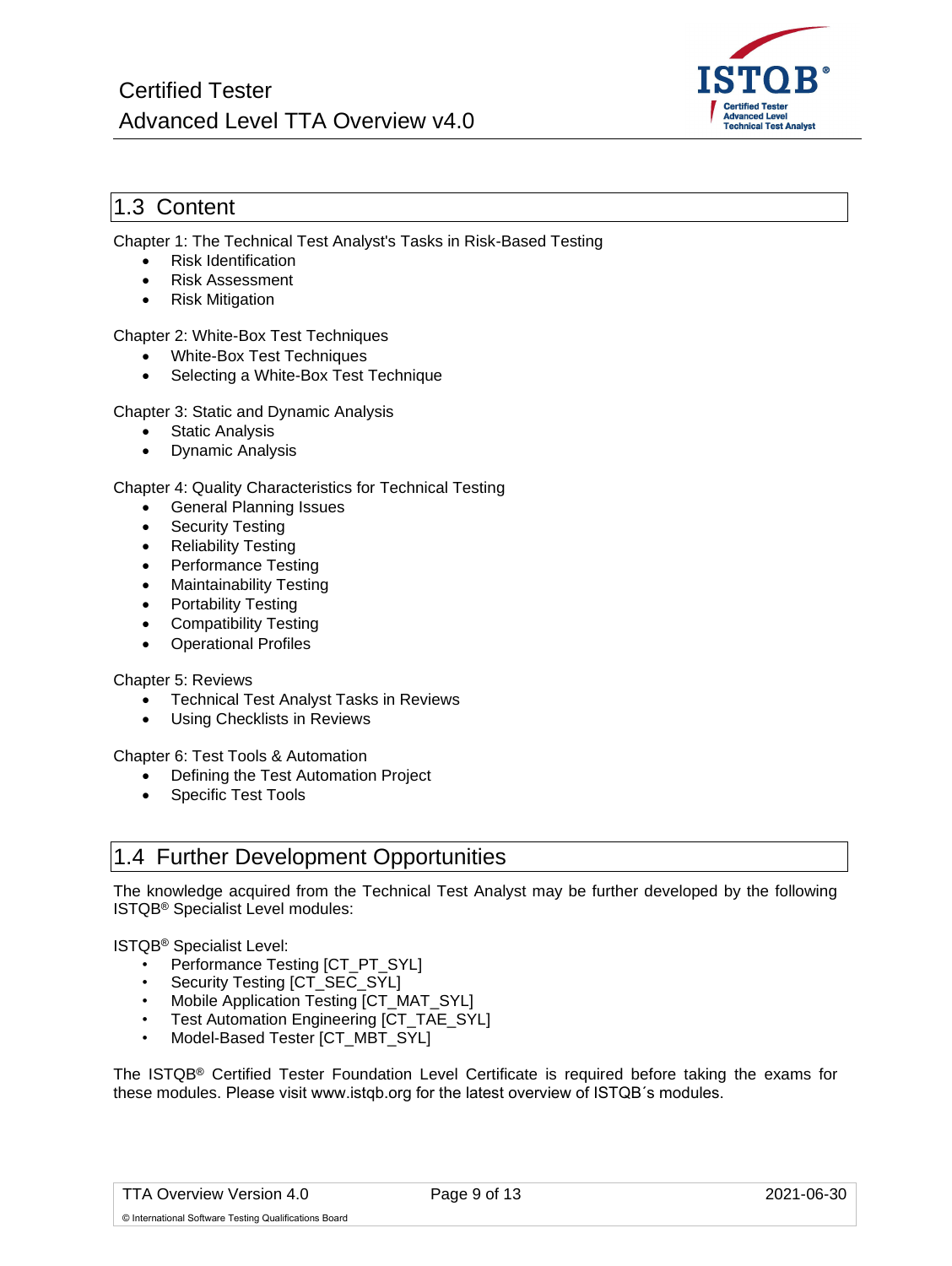

#### <span id="page-8-0"></span>1.3 Content

Chapter 1: The Technical Test Analyst's Tasks in Risk-Based Testing

- Risk Identification
- Risk Assessment
- Risk Mitigation

#### Chapter 2: White-Box Test Techniques

- White-Box Test Techniques
- Selecting a White-Box Test Technique

Chapter 3: Static and Dynamic Analysis

- Static Analysis
- Dynamic Analysis

#### Chapter 4: Quality Characteristics for Technical Testing

- General Planning Issues
- Security Testing
- Reliability Testing
- Performance Testing
- Maintainability Testing
- Portability Testing
- Compatibility Testing
- Operational Profiles

#### Chapter 5: Reviews

- Technical Test Analyst Tasks in Reviews
- Using Checklists in Reviews

Chapter 6: Test Tools & Automation

- Defining the Test Automation Project
- Specific Test Tools

### <span id="page-8-1"></span>1.4 Further Development Opportunities

The knowledge acquired from the Technical Test Analyst may be further developed by the following ISTQB® Specialist Level modules:

#### ISTQB® Specialist Level:

- Performance Testing [CT\_PT\_SYL]
- Security Testing [CT\_SEC\_SYL]
- Mobile Application Testing [CT\_MAT\_SYL]
- Test Automation Engineering [CT\_TAE\_SYL]
- Model-Based Tester [CT\_MBT\_SYL]

The ISTQB® Certified Tester Foundation Level Certificate is required before taking the exams for these modules. Please visit www.istqb.org for the latest overview of ISTQB´s modules.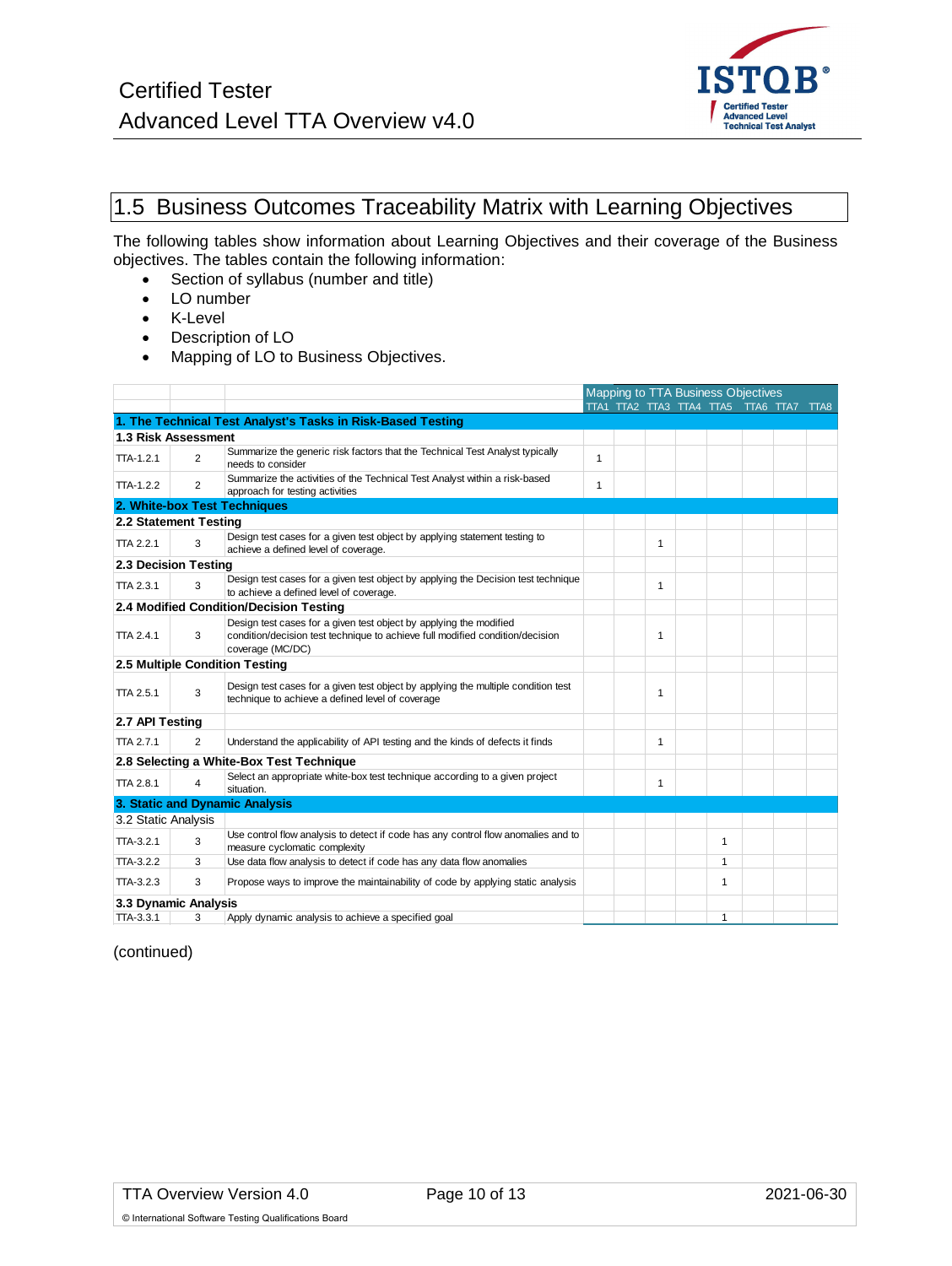

# <span id="page-9-0"></span>1.5 Business Outcomes Traceability Matrix with Learning Objectives

The following tables show information about Learning Objectives and their coverage of the Business objectives. The tables contain the following information:

- Section of syllabus (number and title)
- LO number
- K-Level
- Description of LO
- Mapping of LO to Business Objectives.

|                     |                       |                                                                                                                                                                         | Mapping to TTA Business Objectives |  |              |                                         |  |  |
|---------------------|-----------------------|-------------------------------------------------------------------------------------------------------------------------------------------------------------------------|------------------------------------|--|--------------|-----------------------------------------|--|--|
|                     |                       |                                                                                                                                                                         |                                    |  |              | TTA1 TTA2 TTA3 TTA4 TTA5 TTA6 TTA7 TTA8 |  |  |
|                     |                       | 1. The Technical Test Analyst's Tasks in Risk-Based Testing                                                                                                             |                                    |  |              |                                         |  |  |
|                     | 1.3 Risk Assessment   |                                                                                                                                                                         |                                    |  |              |                                         |  |  |
| TTA-1.2.1           | $\overline{2}$        | Summarize the generic risk factors that the Technical Test Analyst typically<br>needs to consider                                                                       | 1                                  |  |              |                                         |  |  |
| $TTA-1.2.2$         | $\overline{2}$        | Summarize the activities of the Technical Test Analyst within a risk-based<br>approach for testing activities                                                           | $\mathbf{1}$                       |  |              |                                         |  |  |
|                     |                       | 2. White-box Test Techniques                                                                                                                                            |                                    |  |              |                                         |  |  |
|                     | 2.2 Statement Testing |                                                                                                                                                                         |                                    |  |              |                                         |  |  |
| <b>TTA 2.2.1</b>    | 3                     | Design test cases for a given test object by applying statement testing to<br>achieve a defined level of coverage.                                                      |                                    |  | 1            |                                         |  |  |
|                     | 2.3 Decision Testing  |                                                                                                                                                                         |                                    |  |              |                                         |  |  |
| <b>TTA 2.3.1</b>    | 3                     | Design test cases for a given test object by applying the Decision test technique<br>to achieve a defined level of coverage.                                            |                                    |  | 1            |                                         |  |  |
|                     |                       | 2.4 Modified Condition/Decision Testing                                                                                                                                 |                                    |  |              |                                         |  |  |
| <b>TTA 2.4.1</b>    | 3                     | Design test cases for a given test object by applying the modified<br>condition/decision test technique to achieve full modified condition/decision<br>coverage (MC/DC) |                                    |  | 1            |                                         |  |  |
|                     |                       | 2.5 Multiple Condition Testing                                                                                                                                          |                                    |  |              |                                         |  |  |
| TTA 2.5.1           | 3                     | Design test cases for a given test object by applying the multiple condition test<br>technique to achieve a defined level of coverage                                   |                                    |  | 1            |                                         |  |  |
|                     | 2.7 API Testing       |                                                                                                                                                                         |                                    |  |              |                                         |  |  |
| <b>TTA 2.7.1</b>    | $\overline{2}$        | Understand the applicability of API testing and the kinds of defects it finds                                                                                           |                                    |  | 1            |                                         |  |  |
|                     |                       | 2.8 Selecting a White-Box Test Technique                                                                                                                                |                                    |  |              |                                         |  |  |
| <b>TTA 2.8.1</b>    | $\overline{4}$        | Select an appropriate white-box test technique according to a given project<br>situation.                                                                               |                                    |  | $\mathbf{1}$ |                                         |  |  |
|                     |                       | 3. Static and Dynamic Analysis                                                                                                                                          |                                    |  |              |                                         |  |  |
| 3.2 Static Analysis |                       |                                                                                                                                                                         |                                    |  |              |                                         |  |  |
| TTA-3.2.1           | 3                     | Use control flow analysis to detect if code has any control flow anomalies and to<br>measure cyclomatic complexity                                                      |                                    |  |              | 1                                       |  |  |
| TTA-3.2.2           | 3                     | Use data flow analysis to detect if code has any data flow anomalies                                                                                                    |                                    |  |              | $\mathbf{1}$                            |  |  |
| $TTA-3.2.3$         | 3                     | Propose ways to improve the maintainability of code by applying static analysis                                                                                         |                                    |  |              | 1                                       |  |  |
|                     | 3.3 Dynamic Analysis  |                                                                                                                                                                         |                                    |  |              |                                         |  |  |
| TTA-3.3.1           | 3                     | Apply dynamic analysis to achieve a specified goal                                                                                                                      |                                    |  |              | $\mathbf{1}$                            |  |  |

(continued)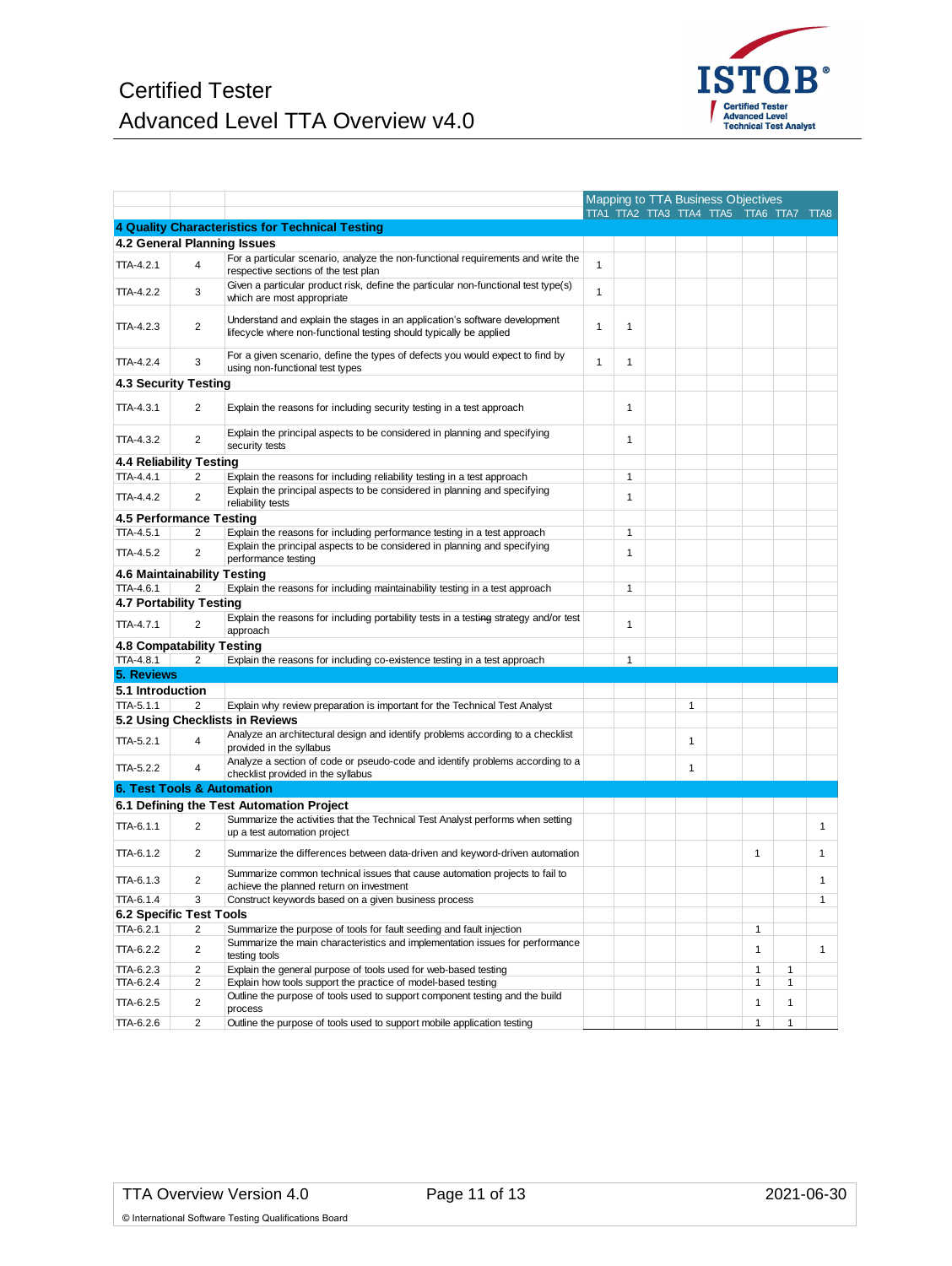

|                        |                                           |                                                                                                                                                  |   |   |   | Mapping to TTA Business Objectives      |              |              |              |
|------------------------|-------------------------------------------|--------------------------------------------------------------------------------------------------------------------------------------------------|---|---|---|-----------------------------------------|--------------|--------------|--------------|
|                        |                                           |                                                                                                                                                  |   |   |   | TTA1 TTA2 TTA3 TTA4 TTA5 TTA6 TTA7 TTA8 |              |              |              |
|                        |                                           | 4 Quality Characteristics for Technical Testing                                                                                                  |   |   |   |                                         |              |              |              |
|                        |                                           | 4.2 General Planning Issues                                                                                                                      |   |   |   |                                         |              |              |              |
| <b>TTA-4.2.1</b>       | 4                                         | For a particular scenario, analyze the non-functional requirements and write the<br>respective sections of the test plan                         | 1 |   |   |                                         |              |              |              |
| TTA-4.2.2              | 3                                         | Given a particular product risk, define the particular non-functional test type(s)<br>which are most appropriate                                 | 1 |   |   |                                         |              |              |              |
| TTA-4.2.3              | $\overline{2}$                            | Understand and explain the stages in an application's software development<br>lifecycle where non-functional testing should typically be applied | 1 | 1 |   |                                         |              |              |              |
| TTA-4.2.4              | 3                                         | For a given scenario, define the types of defects you would expect to find by<br>using non-functional test types                                 | 1 | 1 |   |                                         |              |              |              |
|                        | 4.3 Security Testing                      |                                                                                                                                                  |   |   |   |                                         |              |              |              |
|                        |                                           |                                                                                                                                                  |   |   |   |                                         |              |              |              |
| TTA-4.3.1              | $\overline{2}$                            | Explain the reasons for including security testing in a test approach                                                                            |   | 1 |   |                                         |              |              |              |
| TTA-4.3.2              | $\overline{2}$                            | Explain the principal aspects to be considered in planning and specifying<br>security tests                                                      |   | 1 |   |                                         |              |              |              |
|                        | 4.4 Reliability Testing                   |                                                                                                                                                  |   |   |   |                                         |              |              |              |
| TTA-4.4.1              | 2                                         | Explain the reasons for including reliability testing in a test approach                                                                         |   | 1 |   |                                         |              |              |              |
| TTA-4.4.2              | $\overline{2}$                            | Explain the principal aspects to be considered in planning and specifying<br>reliability tests                                                   |   | 1 |   |                                         |              |              |              |
|                        | 4.5 Performance Testing                   |                                                                                                                                                  |   |   |   |                                         |              |              |              |
| TTA-4.5.1              | 2                                         | Explain the reasons for including performance testing in a test approach                                                                         |   | 1 |   |                                         |              |              |              |
| <b>TTA-4.5.2</b>       | 2                                         | Explain the principal aspects to be considered in planning and specifying<br>performance testing                                                 |   | 1 |   |                                         |              |              |              |
|                        | 4.6 Maintainability Testing               |                                                                                                                                                  |   |   |   |                                         |              |              |              |
| TTA-4.6.1              | 2                                         | Explain the reasons for including maintainability testing in a test approach                                                                     |   | 1 |   |                                         |              |              |              |
|                        | 4.7 Portability Testing                   |                                                                                                                                                  |   |   |   |                                         |              |              |              |
| <b>TTA-4.7.1</b>       | $\overline{2}$                            | Explain the reasons for including portability tests in a testing strategy and/or test                                                            |   | 1 |   |                                         |              |              |              |
|                        |                                           | approach                                                                                                                                         |   |   |   |                                         |              |              |              |
|                        | 4.8 Compatability Testing                 |                                                                                                                                                  |   |   |   |                                         |              |              |              |
| <b>TTA-4.8.1</b>       | 2                                         | Explain the reasons for including co-existence testing in a test approach                                                                        |   | 1 |   |                                         |              |              |              |
| 5. Reviews             |                                           |                                                                                                                                                  |   |   |   |                                         |              |              |              |
| 5.1 Introduction       |                                           |                                                                                                                                                  |   |   |   |                                         |              |              |              |
| $TTA-5.1.1$            | 2                                         | Explain why review preparation is important for the Technical Test Analyst                                                                       |   |   | 1 |                                         |              |              |              |
| TTA-5.2.1              | 4                                         | 5.2 Using Checklists in Reviews<br>Analyze an architectural design and identify problems according to a checklist                                |   |   | 1 |                                         |              |              |              |
|                        |                                           | provided in the syllabus<br>Analyze a section of code or pseudo-code and identify problems according to a                                        |   |   |   |                                         |              |              |              |
| TTA-5.2.2              | 4                                         | checklist provided in the syllabus                                                                                                               |   |   | 1 |                                         |              |              |              |
|                        | <b>6. Test Tools &amp; Automation</b>     |                                                                                                                                                  |   |   |   |                                         |              |              |              |
|                        |                                           | 6.1 Defining the Test Automation Project                                                                                                         |   |   |   |                                         |              |              |              |
| TTA-6.1.1              | $\overline{2}$                            | Summarize the activities that the Technical Test Analyst performs when setting<br>up a test automation project                                   |   |   |   |                                         |              |              | 1            |
| TTA-6.1.2              | 2                                         | Summarize the differences between data-driven and keyword-driven automation                                                                      |   |   |   |                                         | 1            |              | 1            |
| TTA-6.1.3              | 2                                         | Summarize common technical issues that cause automation projects to fail to<br>achieve the planned return on investment                          |   |   |   |                                         |              |              | 1            |
| TTA-6.1.4              | 3                                         | Construct keywords based on a given business process                                                                                             |   |   |   |                                         |              |              | 1            |
|                        | <b>6.2 Specific Test Tools</b>            |                                                                                                                                                  |   |   |   |                                         |              |              |              |
| TTA-6.2.1              | 2                                         | Summarize the purpose of tools for fault seeding and fault injection                                                                             |   |   |   |                                         | 1            |              |              |
| TTA-6.2.2              | 2                                         | Summarize the main characteristics and implementation issues for performance<br>testing tools                                                    |   |   |   |                                         | 1            |              | $\mathbf{1}$ |
| TTA-6.2.3              | $\overline{2}$                            | Explain the general purpose of tools used for web-based testing                                                                                  |   |   |   |                                         | 1            | 1            |              |
| TTA-6.2.4              | $\overline{2}$                            | Explain how tools support the practice of model-based testing                                                                                    |   |   |   |                                         | $\mathbf{1}$ | $\mathbf{1}$ |              |
|                        |                                           | Outline the purpose of tools used to support component testing and the build                                                                     |   |   |   |                                         |              |              |              |
| TTA-6.2.5<br>TTA-6.2.6 | $\overline{\mathbf{c}}$<br>$\overline{2}$ | process<br>Outline the purpose of tools used to support mobile application testing                                                               |   |   |   |                                         | 1<br>1       | 1<br>1       |              |
|                        |                                           |                                                                                                                                                  |   |   |   |                                         |              |              |              |

© International Software Testing Qualifications Board

Certified Tester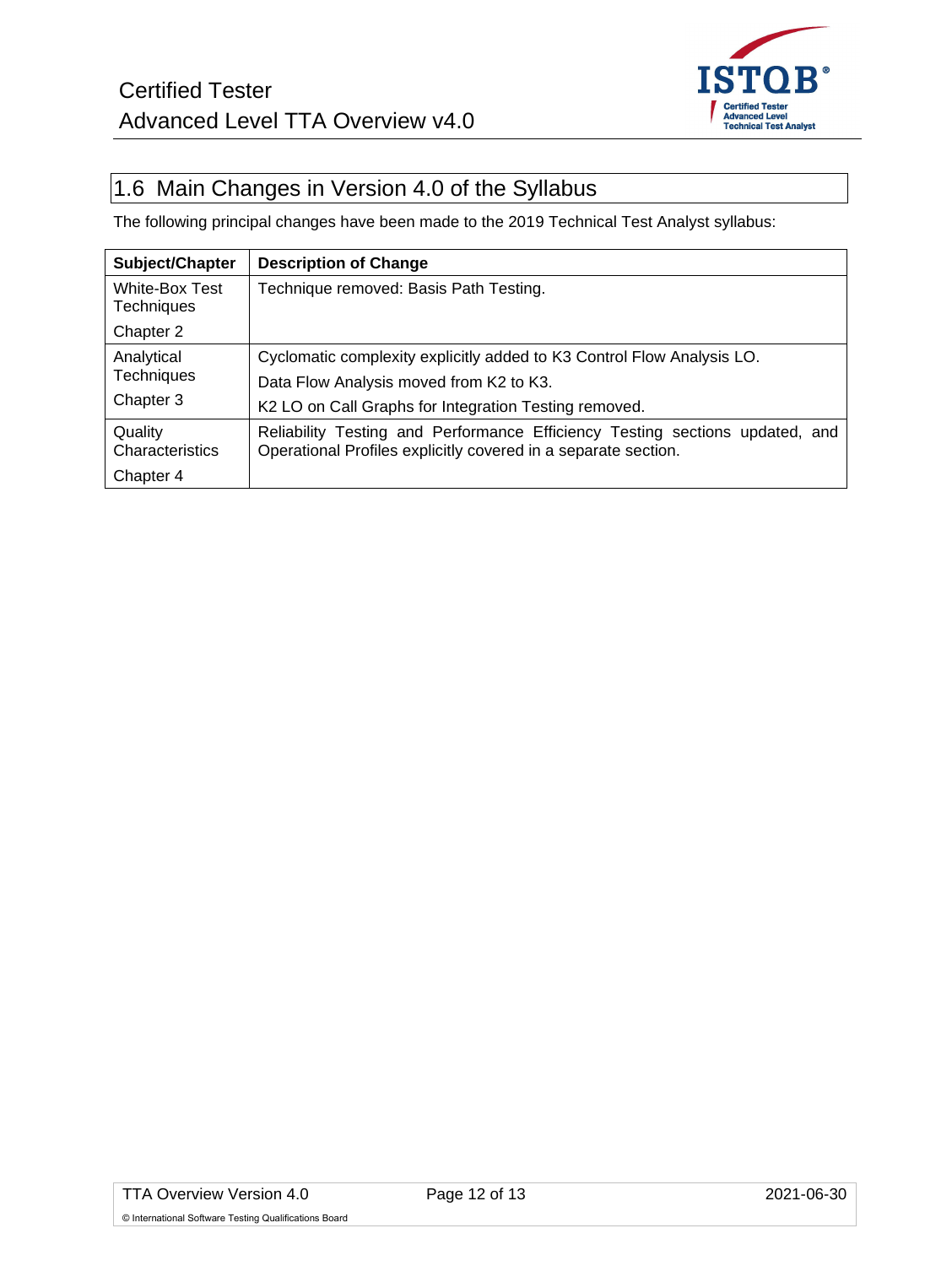

## <span id="page-11-0"></span>1.6 Main Changes in Version 4.0 of the Syllabus

The following principal changes have been made to the 2019 Technical Test Analyst syllabus:

| Subject/Chapter                     | <b>Description of Change</b>                                                                                                                   |  |  |  |  |
|-------------------------------------|------------------------------------------------------------------------------------------------------------------------------------------------|--|--|--|--|
| White-Box Test<br><b>Techniques</b> | Technique removed: Basis Path Testing.                                                                                                         |  |  |  |  |
| Chapter 2                           |                                                                                                                                                |  |  |  |  |
| Analytical                          | Cyclomatic complexity explicitly added to K3 Control Flow Analysis LO.                                                                         |  |  |  |  |
| <b>Techniques</b>                   | Data Flow Analysis moved from K2 to K3.                                                                                                        |  |  |  |  |
| Chapter 3                           | K2 LO on Call Graphs for Integration Testing removed.                                                                                          |  |  |  |  |
| Quality<br>Characteristics          | Reliability Testing and Performance Efficiency Testing sections updated, and<br>Operational Profiles explicitly covered in a separate section. |  |  |  |  |
| Chapter 4                           |                                                                                                                                                |  |  |  |  |